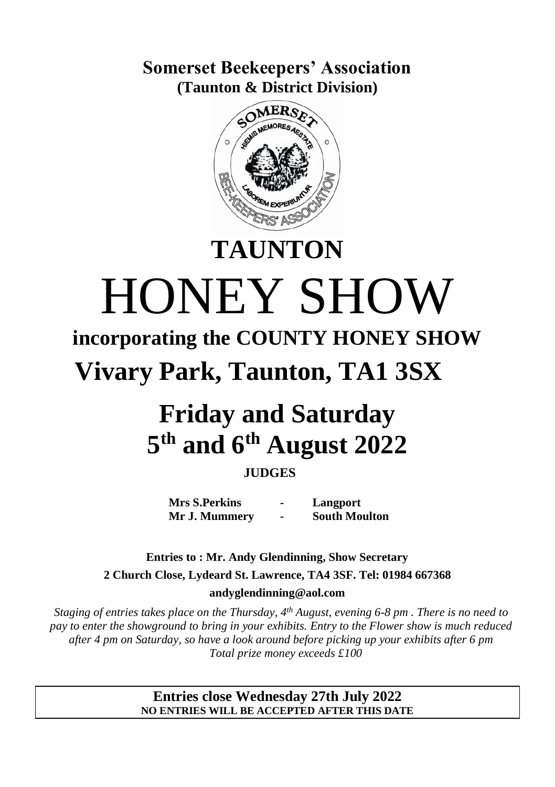**Somerset Beekeepers' Association (Taunton & District Division)**



# HONEY SHOW **incorporating the COUNTY HONEY SHOW**

**TAUNTON**

**Vivary Park, Taunton, TA1 3SX**

## **Friday and Saturday 5 th and 6 th August 2022**

#### **JUDGES**

**Mrs S.Perkins Mr J. Mummery - - Langport South Moulton**

**Entries to : Mr. Andy Glendinning, Show Secretary 2 Church Close, Lydeard St. Lawrence, TA4 3SF. Tel: 01984 667368 andyglendinning@aol.com**

*Staging of entries takes place on the Thursday, 4th August, evening 6-8 pm . There is no need to pay to enter the showground to bring in your exhibits. Entry to the Flower show is much reduced after 4 pm on Saturday, so have a look around before picking up your exhibits after 6 pm Total prize money exceeds £100*

> **Entries close Wednesday 27th July 2022 NO ENTRIES WILL BE ACCEPTED AFTER THIS DATE**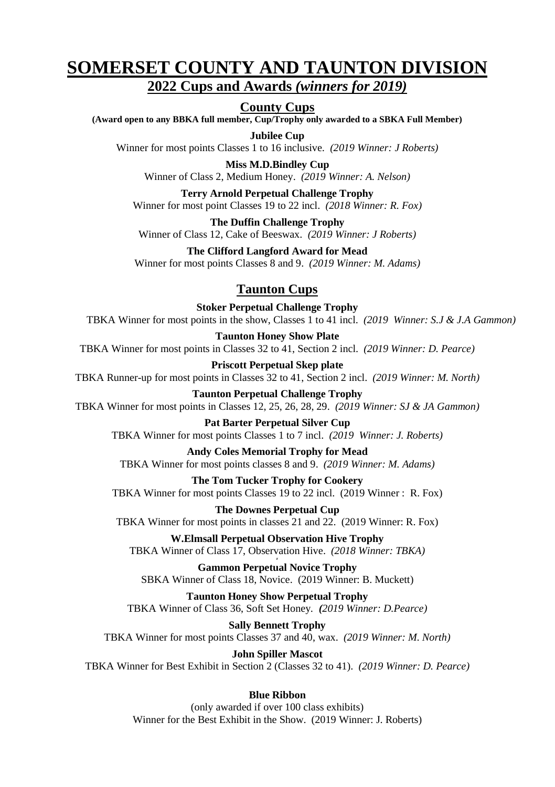## **SOMERSET COUNTY AND TAUNTON DIVISION**

#### **2022 Cups and Awards** *(winners for 2019)*

#### **County Cups**

**(Award open to any BBKA full member, Cup/Trophy only awarded to a SBKA Full Member)**

**Jubilee Cup**

Winner for most points Classes 1 to 16 inclusive. *(2019 Winner: J Roberts)*

**Miss M.D.Bindley Cup** Winner of Class 2, Medium Honey. *(2019 Winner: A. Nelson)*

**Terry Arnold Perpetual Challenge Trophy** Winner for most point Classes 19 to 22 incl. *(2018 Winner: R. Fox)*

**The Duffin Challenge Trophy** Winner of Class 12, Cake of Beeswax. *(2019 Winner: J Roberts)*

**The Clifford Langford Award for Mead** Winner for most points Classes 8 and 9. *(2019 Winner: M. Adams)*

#### **Taunton Cups**

**Stoker Perpetual Challenge Trophy** TBKA Winner for most points in the show, Classes 1 to 41 incl. *(2019 Winner: S.J & J.A Gammon)*

**Taunton Honey Show Plate** TBKA Winner for most points in Classes 32 to 41, Section 2 incl. *(2019 Winner: D. Pearce)*

**Priscott Perpetual Skep plate** TBKA Runner-up for most points in Classes 32 to 41, Section 2 incl. *(2019 Winner: M. North)*

**Taunton Perpetual Challenge Trophy** TBKA Winner for most points in Classes 12, 25, 26, 28, 29. *(2019 Winner: SJ & JA Gammon)*

**Pat Barter Perpetual Silver Cup** TBKA Winner for most points Classes 1 to 7 incl. *(2019 Winner: J. Roberts)*

**Andy Coles Memorial Trophy for Mead** TBKA Winner for most points classes 8 and 9. *(2019 Winner: M. Adams)*

**The Tom Tucker Trophy for Cookery** TBKA Winner for most points Classes 19 to 22 incl. (2019 Winner : R. Fox)

**The Downes Perpetual Cup** TBKA Winner for most points in classes 21 and 22. (2019 Winner: R. Fox)

**W.Elmsall Perpetual Observation Hive Trophy** TBKA Winner of Class 17, Observation Hive. *(2018 Winner: TBKA)*

**r Gammon Perpetual Novice Trophy** SBKA Winner of Class 18, Novice. (2019 Winner: B. Muckett)

**Taunton Honey Show Perpetual Trophy** TBKA Winner of Class 36, Soft Set Honey*. (2019 Winner: D.Pearce)*

**Sally Bennett Trophy** TBKA Winner for most points Classes 37 and 40, wax. *(2019 Winner: M. North)*

**John Spiller Mascot** TBKA Winner for Best Exhibit in Section 2 (Classes 32 to 41). *(2019 Winner: D. Pearce)*

#### **Blue Ribbon**

(only awarded if over 100 class exhibits) Winner for the Best Exhibit in the Show. (2019 Winner: J. Roberts)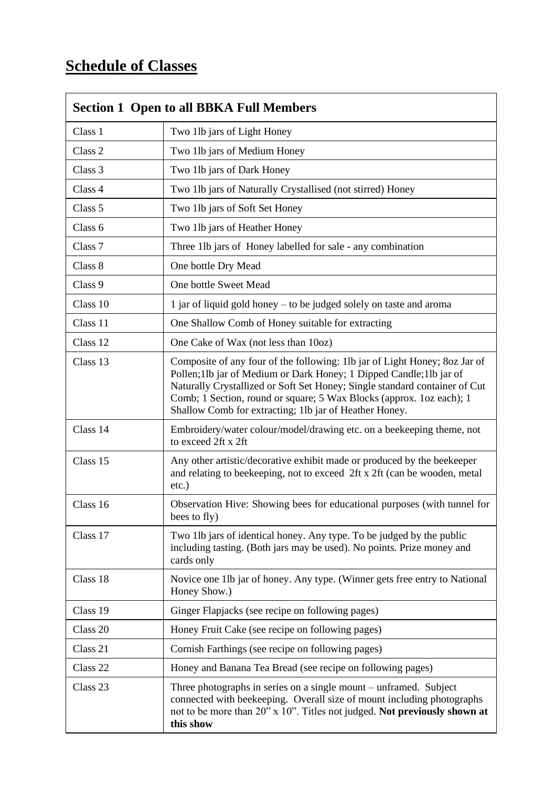#### **Schedule of Classes**

|                     | <b>Section 1 Open to all BBKA Full Members</b>                                                                                                                                                                                                                                                                                                                   |  |
|---------------------|------------------------------------------------------------------------------------------------------------------------------------------------------------------------------------------------------------------------------------------------------------------------------------------------------------------------------------------------------------------|--|
| Class 1             | Two 1lb jars of Light Honey                                                                                                                                                                                                                                                                                                                                      |  |
| Class <sub>2</sub>  | Two 1lb jars of Medium Honey                                                                                                                                                                                                                                                                                                                                     |  |
| Class 3             | Two 1lb jars of Dark Honey                                                                                                                                                                                                                                                                                                                                       |  |
| Class 4             | Two 11b jars of Naturally Crystallised (not stirred) Honey                                                                                                                                                                                                                                                                                                       |  |
| Class 5             | Two 1lb jars of Soft Set Honey                                                                                                                                                                                                                                                                                                                                   |  |
| Class <sub>6</sub>  | Two 1lb jars of Heather Honey                                                                                                                                                                                                                                                                                                                                    |  |
| Class <sub>7</sub>  | Three 1lb jars of Honey labelled for sale - any combination                                                                                                                                                                                                                                                                                                      |  |
| Class 8             | One bottle Dry Mead                                                                                                                                                                                                                                                                                                                                              |  |
| Class 9             | One bottle Sweet Mead                                                                                                                                                                                                                                                                                                                                            |  |
| Class 10            | 1 jar of liquid gold honey – to be judged solely on taste and aroma                                                                                                                                                                                                                                                                                              |  |
| Class 11            | One Shallow Comb of Honey suitable for extracting                                                                                                                                                                                                                                                                                                                |  |
| Class 12            | One Cake of Wax (not less than 10oz)                                                                                                                                                                                                                                                                                                                             |  |
| Class 13            | Composite of any four of the following: 1lb jar of Light Honey; 8oz Jar of<br>Pollen;1lb jar of Medium or Dark Honey; 1 Dipped Candle;1lb jar of<br>Naturally Crystallized or Soft Set Honey; Single standard container of Cut<br>Comb; 1 Section, round or square; 5 Wax Blocks (approx. 1oz each); 1<br>Shallow Comb for extracting; 1lb jar of Heather Honey. |  |
| Class 14            | Embroidery/water colour/model/drawing etc. on a beekeeping theme, not<br>to exceed 2ft x 2ft                                                                                                                                                                                                                                                                     |  |
| Class 15            | Any other artistic/decorative exhibit made or produced by the beekeeper<br>and relating to beekeeping, not to exceed 2ft x 2ft (can be wooden, metal<br>etc.)                                                                                                                                                                                                    |  |
| Class 16            | Observation Hive: Showing bees for educational purposes (with tunnel for<br>bees to fly)                                                                                                                                                                                                                                                                         |  |
| Class 17            | Two 1lb jars of identical honey. Any type. To be judged by the public<br>including tasting. (Both jars may be used). No points. Prize money and<br>cards only                                                                                                                                                                                                    |  |
| Class 18            | Novice one 1lb jar of honey. Any type. (Winner gets free entry to National<br>Honey Show.)                                                                                                                                                                                                                                                                       |  |
| Class 19            | Ginger Flapjacks (see recipe on following pages)                                                                                                                                                                                                                                                                                                                 |  |
| Class 20            | Honey Fruit Cake (see recipe on following pages)                                                                                                                                                                                                                                                                                                                 |  |
| Class 21            | Cornish Farthings (see recipe on following pages)                                                                                                                                                                                                                                                                                                                |  |
| Class <sub>22</sub> | Honey and Banana Tea Bread (see recipe on following pages)                                                                                                                                                                                                                                                                                                       |  |
| Class <sub>23</sub> | Three photographs in series on a single mount – unframed. Subject<br>connected with beekeeping. Overall size of mount including photographs<br>not to be more than 20" x 10". Titles not judged. Not previously shown at<br>this show                                                                                                                            |  |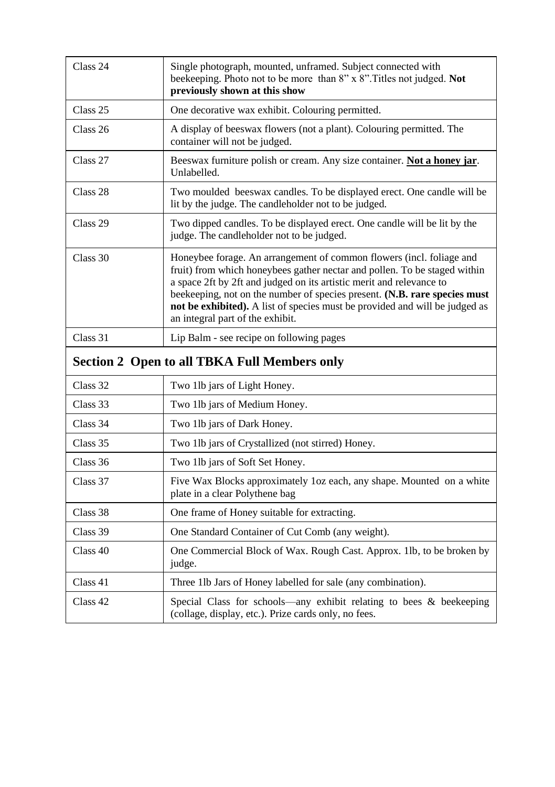| Class 24 | Single photograph, mounted, unframed. Subject connected with<br>beekeeping. Photo not to be more than 8" x 8". Titles not judged. Not<br>previously shown at this show                                                                                                                                                                                                                                                    |
|----------|---------------------------------------------------------------------------------------------------------------------------------------------------------------------------------------------------------------------------------------------------------------------------------------------------------------------------------------------------------------------------------------------------------------------------|
| Class 25 | One decorative wax exhibit. Colouring permitted.                                                                                                                                                                                                                                                                                                                                                                          |
| Class 26 | A display of beeswax flowers (not a plant). Colouring permitted. The<br>container will not be judged.                                                                                                                                                                                                                                                                                                                     |
| Class 27 | Beeswax furniture polish or cream. Any size container. Not a honey jar.<br>Unlabelled.                                                                                                                                                                                                                                                                                                                                    |
| Class 28 | Two moulded beeswax candles. To be displayed erect. One candle will be<br>lit by the judge. The candleholder not to be judged.                                                                                                                                                                                                                                                                                            |
| Class 29 | Two dipped candles. To be displayed erect. One candle will be lit by the<br>judge. The candleholder not to be judged.                                                                                                                                                                                                                                                                                                     |
| Class 30 | Honeybee forage. An arrangement of common flowers (incl. foliage and<br>fruit) from which honeybees gather nectar and pollen. To be staged within<br>a space 2ft by 2ft and judged on its artistic merit and relevance to<br>beekeeping, not on the number of species present. (N.B. rare species must<br>not be exhibited). A list of species must be provided and will be judged as<br>an integral part of the exhibit. |
| Class 31 | Lip Balm - see recipe on following pages                                                                                                                                                                                                                                                                                                                                                                                  |
|          | <b>Section 2 Open to all TBKA Full Members only</b>                                                                                                                                                                                                                                                                                                                                                                       |
| Class 32 | Two 1lb jars of Light Honey.                                                                                                                                                                                                                                                                                                                                                                                              |
| Class 33 | Two 1lb jars of Medium Honey.                                                                                                                                                                                                                                                                                                                                                                                             |
| Class 34 | Two 1lb jars of Dark Honey.                                                                                                                                                                                                                                                                                                                                                                                               |
| Class 35 | Two 1lb jars of Crystallized (not stirred) Honey.                                                                                                                                                                                                                                                                                                                                                                         |
| Class 36 | Two 1lb jars of Soft Set Honey.                                                                                                                                                                                                                                                                                                                                                                                           |
| Class 37 | Five Wax Blocks approximately 1 oz each, any shape. Mounted on a white<br>plate in a clear Polythene bag                                                                                                                                                                                                                                                                                                                  |
| Class 38 | One frame of Honey suitable for extracting.                                                                                                                                                                                                                                                                                                                                                                               |
| Class 39 | One Standard Container of Cut Comb (any weight).                                                                                                                                                                                                                                                                                                                                                                          |
| Class 40 | One Commercial Block of Wax. Rough Cast. Approx. 1lb, to be broken by<br>judge.                                                                                                                                                                                                                                                                                                                                           |
| Class 41 | Three 11b Jars of Honey labelled for sale (any combination).                                                                                                                                                                                                                                                                                                                                                              |
| Class 42 | Special Class for schools—any exhibit relating to bees & beekeeping<br>(collage, display, etc.). Prize cards only, no fees.                                                                                                                                                                                                                                                                                               |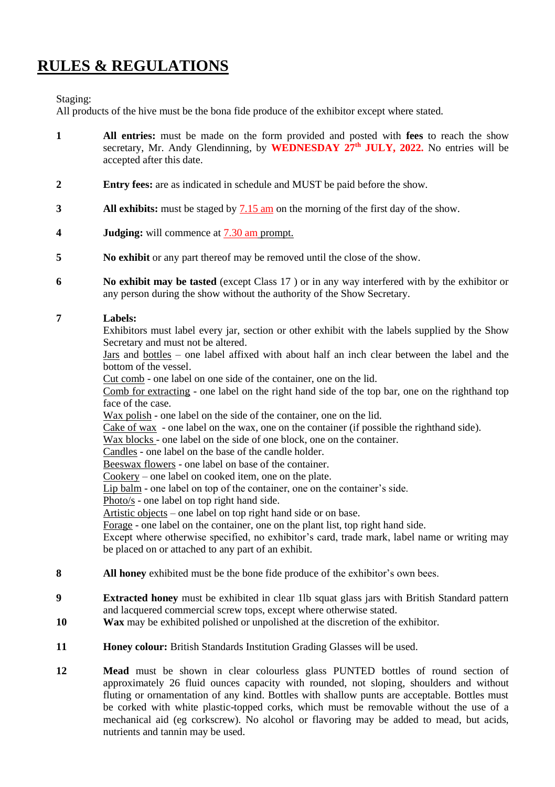#### **RULES & REGULATIONS**

Staging:

All products of the hive must be the bona fide produce of the exhibitor except where stated.

- **1 All entries:** must be made on the form provided and posted with **fees** to reach the show secretary, Mr. Andy Glendinning, by **WEDNESDAY 27 th JULY, 2022.** No entries will be accepted after this date.
- **2 Entry fees:** are as indicated in schedule and MUST be paid before the show.
- **3 All exhibits:** must be staged by 7.15 am on the morning of the first day of the show.
- **4 Judging:** will commence at 7.30 am prompt.
- **5 No exhibit** or any part thereof may be removed until the close of the show.
- **6 No exhibit may be tasted** (except Class 17 ) or in any way interfered with by the exhibitor or any person during the show without the authority of the Show Secretary.

#### **7 Labels:**

Exhibitors must label every jar, section or other exhibit with the labels supplied by the Show Secretary and must not be altered.

Jars and bottles – one label affixed with about half an inch clear between the label and the bottom of the vessel.

Cut comb - one label on one side of the container, one on the lid.

Comb for extracting - one label on the right hand side of the top bar, one on the righthand top face of the case.

Wax polish - one label on the side of the container, one on the lid.

Cake of wax - one label on the wax, one on the container (if possible the righthand side).

Wax blocks - one label on the side of one block, one on the container.

Candles - one label on the base of the candle holder.

Beeswax flowers - one label on base of the container.

Cookery – one label on cooked item, one on the plate.

Lip balm - one label on top of the container, one on the container's side.

Photo/s - one label on top right hand side.

Artistic objects – one label on top right hand side or on base.

Forage - one label on the container, one on the plant list, top right hand side.

Except where otherwise specified, no exhibitor's card, trade mark, label name or writing may be placed on or attached to any part of an exhibit.

- **8 All honey** exhibited must be the bone fide produce of the exhibitor's own bees.
- **9 Extracted honey** must be exhibited in clear 1lb squat glass jars with British Standard pattern and lacquered commercial screw tops, except where otherwise stated.
- **10 Wax** may be exhibited polished or unpolished at the discretion of the exhibitor.
- **11 Honey colour:** British Standards Institution Grading Glasses will be used.
- **12 Mead** must be shown in clear colourless glass PUNTED bottles of round section of approximately 26 fluid ounces capacity with rounded, not sloping, shoulders and without fluting or ornamentation of any kind. Bottles with shallow punts are acceptable. Bottles must be corked with white plastic-topped corks, which must be removable without the use of a mechanical aid (eg corkscrew). No alcohol or flavoring may be added to mead, but acids, nutrients and tannin may be used.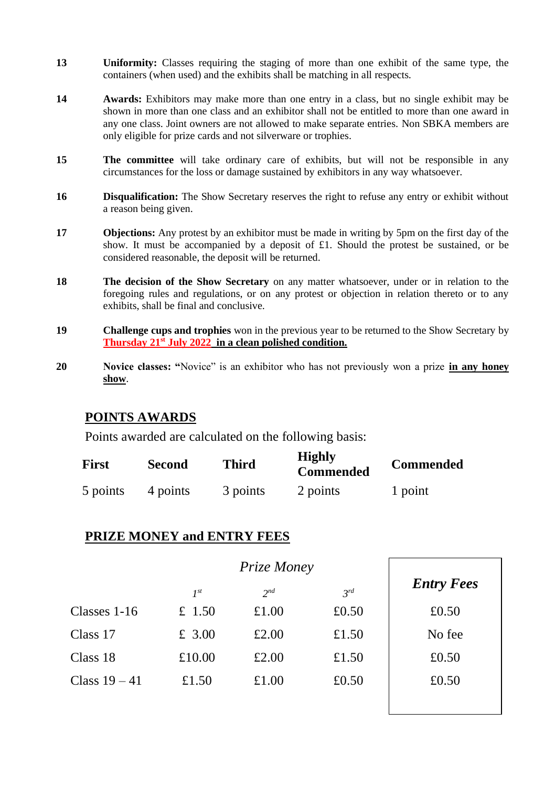- **13 Uniformity:** Classes requiring the staging of more than one exhibit of the same type, the containers (when used) and the exhibits shall be matching in all respects.
- **14 Awards:** Exhibitors may make more than one entry in a class, but no single exhibit may be shown in more than one class and an exhibitor shall not be entitled to more than one award in any one class. Joint owners are not allowed to make separate entries. Non SBKA members are only eligible for prize cards and not silverware or trophies.
- **15 The committee** will take ordinary care of exhibits, but will not be responsible in any circumstances for the loss or damage sustained by exhibitors in any way whatsoever.
- **16 Disqualification:** The Show Secretary reserves the right to refuse any entry or exhibit without a reason being given.
- **17 Objections:** Any protest by an exhibitor must be made in writing by 5pm on the first day of the show. It must be accompanied by a deposit of £1. Should the protest be sustained, or be considered reasonable, the deposit will be returned.
- **18 The decision of the Show Secretary** on any matter whatsoever, under or in relation to the foregoing rules and regulations, or on any protest or objection in relation thereto or to any exhibits, shall be final and conclusive.
- **19 Challenge cups and trophies** won in the previous year to be returned to the Show Secretary by **Thursday 21st July 2022 in a clean polished condition.**
- **20 Novice classes: "**Novice" is an exhibitor who has not previously won a prize **in any honey show**.

#### **POINTS AWARDS**

Points awarded are calculated on the following basis:

| First    | <b>Second</b> | Third    | <b>Highly</b><br><b>Commended</b> | <b>Commended</b> |
|----------|---------------|----------|-----------------------------------|------------------|
| 5 points | 4 points      | 3 points | 2 points                          | 1 point          |

#### **PRIZE MONEY and ENTRY FEES**

|               | Prize Money |                 |          |                   |
|---------------|-------------|-----------------|----------|-------------------|
|               | $I^{st}$    | 2 <sub>nd</sub> | $3^{rd}$ | <b>Entry Fees</b> |
| Classes 1-16  | £ 1.50      | £1.00           | £0.50    | £0.50             |
| Class 17      | $£$ 3.00    | £2.00           | £1.50    | No fee            |
| Class 18      | £10.00      | £2.00           | £1.50    | £0.50             |
| Class $19-41$ | £1.50       | £1.00           | £0.50    | £0.50             |
|               |             |                 |          |                   |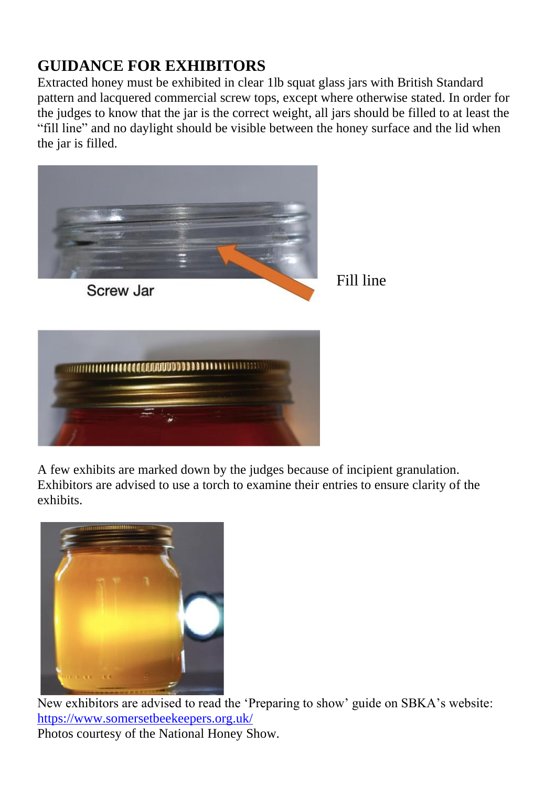#### **GUIDANCE FOR EXHIBITORS**

Extracted honey must be exhibited in clear 1lb squat glass jars with British Standard pattern and lacquered commercial screw tops, except where otherwise stated. In order for the judges to know that the jar is the correct weight, all jars should be filled to at least the "fill line" and no daylight should be visible between the honey surface and the lid when the jar is filled.



A few exhibits are marked down by the judges because of incipient granulation. Exhibitors are advised to use a torch to examine their entries to ensure clarity of the exhibits.



New exhibitors are advised to read the 'Preparing to show' guide on SBKA's website: <https://www.somersetbeekeepers.org.uk/> Photos courtesy of the National Honey Show.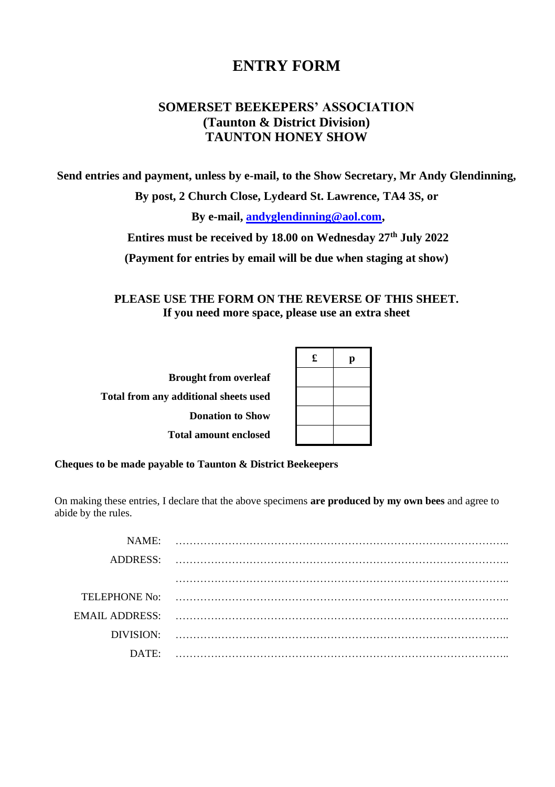#### **ENTRY FORM**

#### **SOMERSET BEEKEPERS' ASSOCIATION (Taunton & District Division) TAUNTON HONEY SHOW**

**Send entries and payment, unless by e-mail, to the Show Secretary, Mr Andy Glendinning,** 

**By post, 2 Church Close, Lydeard St. Lawrence, TA4 3S, or**

**By e-mail, [andyglendinning@aol.com,](mailto:andyglendinning@aol.com)**

**Entires must be received by 18.00 on Wednesday 27th July 2022**

**(Payment for entries by email will be due when staging at show)**

**PLEASE USE THE FORM ON THE REVERSE OF THIS SHEET. If you need more space, please use an extra sheet**

| <b>Brought from overleaf</b>                 |
|----------------------------------------------|
| <b>Total from any additional sheets used</b> |
| <b>Donation to Show</b>                      |
| <b>Total amount enclosed</b>                 |

| £ | p |
|---|---|
|   |   |
|   |   |
|   |   |
|   |   |

**Cheques to be made payable to Taunton & District Beekeepers**

On making these entries, I declare that the above specimens **are produced by my own bees** and agree to abide by the rules.

| NAME     |  |
|----------|--|
|          |  |
|          |  |
|          |  |
|          |  |
|          |  |
|          |  |
|          |  |
|          |  |
| $DATE^*$ |  |
|          |  |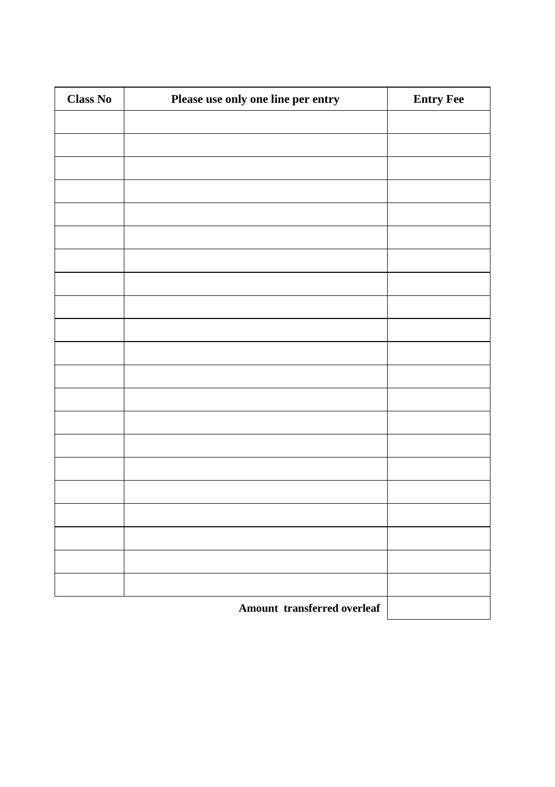| <b>Class No</b> | Please use only one line per entry | <b>Entry Fee</b> |
|-----------------|------------------------------------|------------------|
|                 |                                    |                  |
|                 |                                    |                  |
|                 |                                    |                  |
|                 |                                    |                  |
|                 |                                    |                  |
|                 |                                    |                  |
|                 |                                    |                  |
|                 |                                    |                  |
|                 |                                    |                  |
|                 |                                    |                  |
|                 |                                    |                  |
|                 |                                    |                  |
|                 |                                    |                  |
|                 |                                    |                  |
|                 |                                    |                  |
|                 |                                    |                  |
|                 |                                    |                  |
|                 |                                    |                  |
|                 |                                    |                  |
|                 |                                    |                  |
|                 |                                    |                  |
|                 | Amount transferred overleaf        |                  |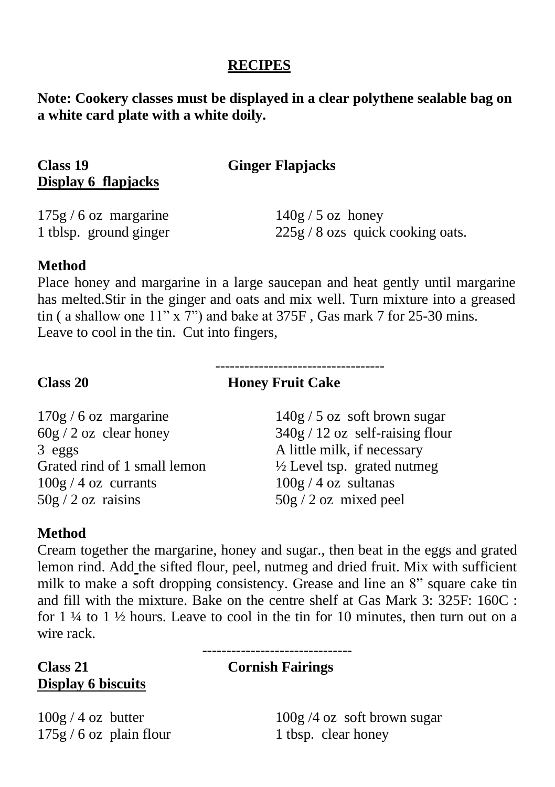#### **RECIPES**

**Note: Cookery classes must be displayed in a clear polythene sealable bag on a white card plate with a white doily.**

| Class 19              | <b>Ginger Flapjacks</b> |  |
|-----------------------|-------------------------|--|
| Display 6 flapjacks   |                         |  |
| $175g/6$ oz margarine | $140g / 5$ oz honey     |  |

1 tblsp. ground ginger 225g / 8 ozs quick cooking oats.

#### **Method**

Place honey and margarine in a large saucepan and heat gently until margarine has melted.Stir in the ginger and oats and mix well. Turn mixture into a greased tin ( a shallow one  $11''$  x 7") and bake at 375F . Gas mark 7 for 25-30 mins. Leave to cool in the tin. Cut into fingers,

#### **Class 20 Honey Fruit Cake**

-----------------------------------

 $170g / 6$  oz margarine  $140g / 5$  oz soft brown sugar 3 eggs A little milk, if necessary Grated rind of 1 small lemon  $\frac{1}{2}$  Level tsp. grated nutmeg  $100g / 4$  oz currants  $100g / 4$  oz sultanas  $50g / 2 oz$  raisins  $50g / 2 oz$  mixed peel

 $60g / 2$  oz clear honey  $340g / 12$  oz self-raising flour

#### **Method**

Cream together the margarine, honey and sugar., then beat in the eggs and grated lemon rind. Add the sifted flour, peel, nutmeg and dried fruit. Mix with sufficient milk to make a soft dropping consistency. Grease and line an 8" square cake tin and fill with the mixture. Bake on the centre shelf at Gas Mark 3: 325F: 160C : for  $1\frac{1}{4}$  to  $1\frac{1}{2}$  hours. Leave to cool in the tin for 10 minutes, then turn out on a wire rack.

-------------------------------

#### **Class 21 Cornish Fairings Display 6 biscuits**

 $175g / 6$  oz plain flour 1 tbsp. clear honey

 $100g / 4$  oz butter  $100g / 4$  oz soft brown sugar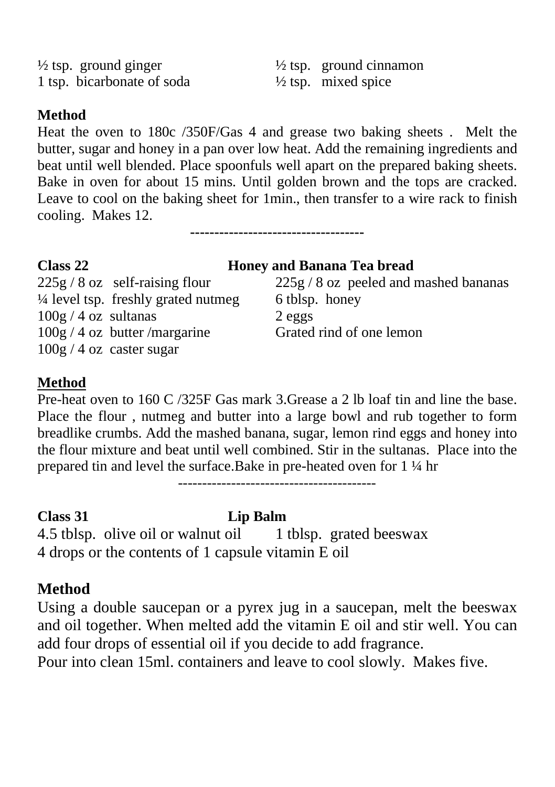<sup> $1/2$ </sup> tsp. ground ginger  $\frac{1}{2}$  tsp. ground cinnamon<br>1 tsp. bicarbonate of soda  $\frac{1}{2}$  tsp. mixed spice 1 tsp. bicarbonate of soda

#### **Method**

Heat the oven to 180c /350F/Gas 4 and grease two baking sheets . Melt the butter, sugar and honey in a pan over low heat. Add the remaining ingredients and beat until well blended. Place spoonfuls well apart on the prepared baking sheets. Bake in oven for about 15 mins. Until golden brown and the tops are cracked. Leave to cool on the baking sheet for 1min., then transfer to a wire rack to finish cooling. Makes 12.

**------------------------------------**

#### **Class 22 Honey and Banana Tea bread**

 $\frac{1}{4}$  level tsp. freshly grated nutmeg 6 tblsp. honey  $100g / 4$  oz sultanas  $2eggs$ 100g / 4 oz butter /margarine Grated rind of one lemon 100g / 4 oz caster sugar

 $225g / 8$  oz self-raising flour  $225g / 8$  oz peeled and mashed bananas

#### **Method**

Pre-heat oven to 160 C /325F Gas mark 3.Grease a 2 lb loaf tin and line the base. Place the flour , nutmeg and butter into a large bowl and rub together to form breadlike crumbs. Add the mashed banana, sugar, lemon rind eggs and honey into the flour mixture and beat until well combined. Stir in the sultanas. Place into the prepared tin and level the surface.Bake in pre-heated oven for 1 ¼ hr

-----------------------------------------

#### **Class 31 Lip Balm**

4.5 tblsp. olive oil or walnut oil 1 tblsp. grated beeswax 4 drops or the contents of 1 capsule vitamin E oil

#### **Method**

Using a double saucepan or a pyrex jug in a saucepan, melt the beeswax and oil together. When melted add the vitamin E oil and stir well. You can add four drops of essential oil if you decide to add fragrance.

Pour into clean 15ml. containers and leave to cool slowly. Makes five.